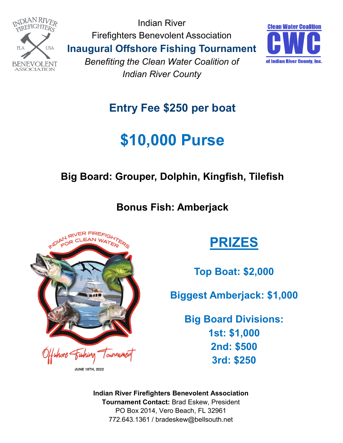

Indian River Firefighters Benevolent Association **Inaugural Offshore Fishing Tournament**  *Benefiting the Clean Water Coalition of* 

*Indian River County*



#### **Entry Fee \$250 per boat**

## **\$10,000 Purse**

#### **Big Board: Grouper, Dolphin, Kingfish, Tilefish**

**Bonus Fish: Amberjack**



**PRIZES**

**Top Boat: \$2,000**

**Biggest Amberjack: \$1,000**

**Big Board Divisions: 1st: \$1,000 2nd: \$500 3rd: \$250**

**Indian River Firefighters Benevolent Association Tournament Contact:** Brad Eskew, President PO Box 2014, Vero Beach, FL 32961 772.643.1361 / bradeskew@bellsouth.net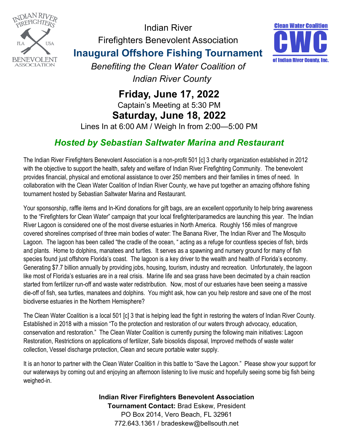

Indian River Firefighters Benevolent Association



**Inaugural Offshore Fishing Tournament** 

*Benefiting the Clean Water Coalition of Indian River County*

**Friday, June 17, 2022** Captain's Meeting at 5:30 PM **Saturday, June 18, 2022** Lines In at 6:00 AM / Weigh In from 2:00—5:00 PM

#### *Hosted by Sebastian Saltwater Marina and Restaurant*

The Indian River Firefighters Benevolent Association is a non-profit 501 [c] 3 charity organization established in 2012 with the objective to support the health, safety and welfare of Indian River Firefighting Community. The benevolent provides financial, physical and emotional assistance to over 250 members and their families in times of need. In collaboration with the Clean Water Coalition of Indian River County, we have put together an amazing offshore fishing tournament hosted by Sebastian Saltwater Marina and Restaurant.

Your sponsorship, raffle items and In-Kind donations for gift bags, are an excellent opportunity to help bring awareness to the "Firefighters for Clean Water" campaign that your local firefighter/paramedics are launching this year. The Indian River Lagoon is considered one of the most diverse estuaries in North America. Roughly 156 miles of mangrove covered shorelines comprised of three main bodies of water: The Banana River, The Indian River and The Mosquito Lagoon. The lagoon has been called "the cradle of the ocean, " acting as a refuge for countless species of fish, birds and plants. Home to dolphins, manatees and turtles. It serves as a spawning and nursery ground for many of fish species found just offshore Florida's coast. The lagoon is a key driver to the wealth and health of Florida's economy. Generating \$7.7 billion annually by providing jobs, housing, tourism, industry and recreation. Unfortunately, the lagoon like most of Florida's estuaries are in a real crisis. Marine life and sea grass have been decimated by a chain reaction started from fertilizer run-off and waste water redistribution. Now, most of our estuaries have been seeing a massive die-off of fish, sea turtles, manatees and dolphins. You might ask, how can you help restore and save one of the most biodiverse estuaries in the Northern Hemisphere?

The Clean Water Coalition is a local 501 [c] 3 that is helping lead the fight in restoring the waters of Indian River County. Established in 2018 with a mission "To the protection and restoration of our waters through advocacy, education, conservation and restoration." The Clean Water Coalition is currently pursing the following main initiatives: Lagoon Restoration, Restrictions on applications of fertilizer, Safe biosolids disposal, Improved methods of waste water collection, Vessel discharge protection, Clean and secure portable water supply.

It is an honor to partner with the Clean Water Coalition in this battle to "Save the Lagoon." Please show your support for our waterways by coming out and enjoying an afternoon listening to live music and hopefully seeing some big fish being weighed-in.

> **Indian River Firefighters Benevolent Association Tournament Contact:** Brad Eskew, President PO Box 2014, Vero Beach, FL 32961 772.643.1361 / bradeskew@bellsouth.net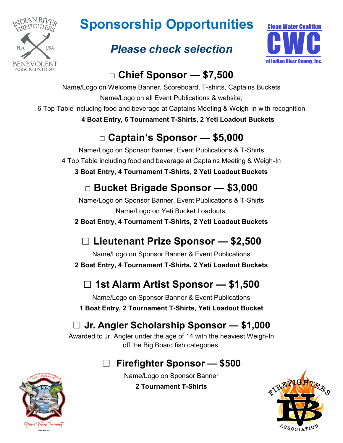

## **Sponsorship Opportunities**

#### *Please check selection*



#### **□ Chief Sponsor — \$7,500**

Name/Logo on Welcome Banner, Scoreboard, T-shirts, Captains Buckets Name/Logo on all Event Publications & website;

6 Top Table including food and beverage at Captains Meeting & Weigh-In with recognition

**4 Boat Entry, 6 Tournament T-Shirts, 2 Yeti Loadout Buckets**

#### **□ Captain's Sponsor — \$5,000**

Name/Logo on Sponsor Banner, Event Publications & T-Shirts 4 Top Table including food and beverage at Captains Meeting & Weigh-In **3 Boat Entry, 4 Tournament T-Shirts, 2 Yeti Loadout Buckets**

#### **□ Bucket Brigade Sponsor — \$3,000**

Name/Logo on Sponsor Banner, Event Publications & T-Shirts Name/Logo on Yeti Bucket Loadouts.

**2 Boat Entry, 4 Tournament T-Shirts, 2 Yeti Loadout Buckets**

#### **□ Lieutenant Prize Sponsor — \$2,500**

Name/Logo on Sponsor Banner & Event Publications **2 Boat Entry, 4 Tournament T-Shirts, 2 Yeti Loadout Buckets**

### **□ 1st Alarm Artist Sponsor — \$1,500**

Name/Logo on Sponsor Banner & Event Publications **1 Boat Entry, 2 Tournament T-Shirts, Yeti Loadout Bucket**

#### **□ Jr. Angler Scholarship Sponsor — \$1,000**

Awarded to Jr. Angler under the age of 14 with the heaviest Weigh-In off the Big Board fish categories.

#### **□ Firefighter Sponsor — \$500**

Name/Logo on Sponsor Banner

**2 Tournament T-Shirts**



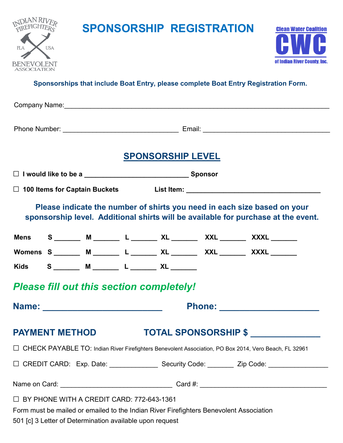

### **SPONSORSHIP REGISTRATION**



#### **Sponsorships that include Boat Entry, please complete Boat Entry Registration Form.**

|                                                                                                                                                               | <b>SPONSORSHIP LEVEL</b> |                      |
|---------------------------------------------------------------------------------------------------------------------------------------------------------------|--------------------------|----------------------|
|                                                                                                                                                               |                          |                      |
|                                                                                                                                                               |                          |                      |
| Please indicate the number of shirts you need in each size based on your<br>sponsorship level. Additional shirts will be available for purchase at the event. |                          |                      |
| Mens S ______ M ______ L ______ XL ______ XXL ______ XXXL ______                                                                                              |                          |                      |
| Womens S ______ M ______ L ______ XL ______ XXL ______ XXXL ______                                                                                            |                          |                      |
| Kids S ______ M _______ L ______ XL _______                                                                                                                   |                          |                      |
| <b>Please fill out this section completely!</b>                                                                                                               |                          |                      |
| Name: ____________________________                                                                                                                            |                          |                      |
| <b>PAYMENT METHOD</b>                                                                                                                                         |                          | TOTAL SPONSORSHIP \$ |
| □ CHECK PAYABLE TO: Indian River Firefighters Benevolent Association, PO Box 2014, Vero Beach, FL 32961                                                       |                          |                      |
| □ CREDIT CARD: Exp. Date: _______________ Security Code: ________ Zip Code: _______________________                                                           |                          |                      |
|                                                                                                                                                               |                          |                      |
| □ BY PHONE WITH A CREDIT CARD: 772-643-1361                                                                                                                   |                          |                      |
| Form must be mailed or emailed to the Indian River Firefighters Benevolent Association                                                                        |                          |                      |

501 [c] 3 Letter of Determination available upon request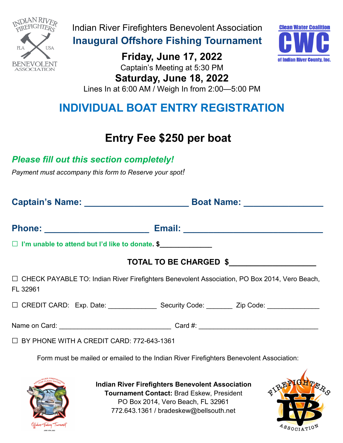

Indian River Firefighters Benevolent Association

**Inaugural Offshore Fishing Tournament** 

**Friday, June 17, 2022** Captain's Meeting at 5:30 PM **Saturday, June 18, 2022**



Lines In at 6:00 AM / Weigh In from 2:00—5:00 PM

#### **INDIVIDUAL BOAT ENTRY REGISTRATION**

#### **Entry Fee \$250 per boat**

#### *Please fill out this section completely!*

*Payment must accompany this form to Reserve your spot!* 

|                                                                                                            | Boat Name: _________________ |  |
|------------------------------------------------------------------------------------------------------------|------------------------------|--|
|                                                                                                            |                              |  |
| □ I'm unable to attend but I'd like to donate. \$                                                          |                              |  |
|                                                                                                            | TOTAL TO BE CHARGED \$       |  |
| □ CHECK PAYABLE TO: Indian River Firefighters Benevolent Association, PO Box 2014, Vero Beach,<br>FL 32961 |                              |  |
| □ CREDIT CARD: Exp. Date: ________________ Security Code: ________ Zip Code: ________________              |                              |  |
|                                                                                                            |                              |  |
| $\Box$ BY PHONE WITH A CREDIT CARD: 772-643-1361                                                           |                              |  |

Form must be mailed or emailed to the Indian River Firefighters Benevolent Association:



**Indian River Firefighters Benevolent Association Tournament Contact:** Brad Eskew, President PO Box 2014, Vero Beach, FL 32961 772.643.1361 / bradeskew@bellsouth.net